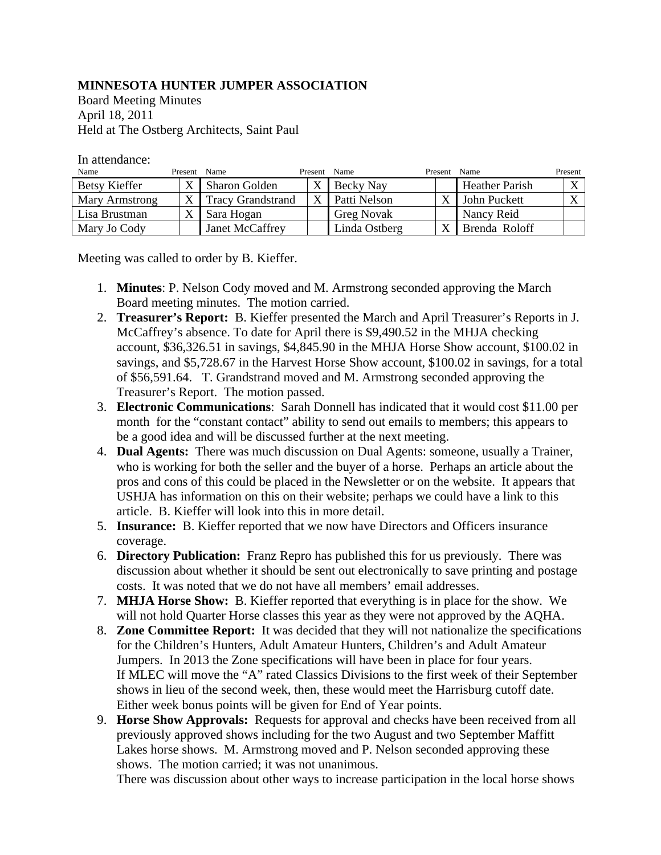## **MINNESOTA HUNTER JUMPER ASSOCIATION**

Board Meeting Minutes April 18, 2011 Held at The Ostberg Architects, Saint Paul

In attendance:

| Name           | Present Name |                          | Present | Name              | Present                 | Name                  | Present |
|----------------|--------------|--------------------------|---------|-------------------|-------------------------|-----------------------|---------|
| Betsy Kieffer  |              | <b>Sharon Golden</b>     |         | Becky Nay         |                         | <b>Heather Parish</b> |         |
| Mary Armstrong |              | <b>Tracy Grandstrand</b> |         | Patti Nelson      | $\overline{\mathbf{v}}$ | John Puckett          |         |
| Lisa Brustman  |              | Sara Hogan               |         | <b>Greg Novak</b> |                         | Nancy Reid            |         |
| Mary Jo Cody   |              | Janet McCaffrey          |         | Linda Ostberg     | $\overline{\mathbf{v}}$ | Brenda Roloff         |         |

Meeting was called to order by B. Kieffer.

- 1. **Minutes**: P. Nelson Cody moved and M. Armstrong seconded approving the March Board meeting minutes. The motion carried.
- 2. **Treasurer's Report:** B. Kieffer presented the March and April Treasurer's Reports in J. McCaffrey's absence. To date for April there is \$9,490.52 in the MHJA checking account, \$36,326.51 in savings, \$4,845.90 in the MHJA Horse Show account, \$100.02 in savings, and \$5,728.67 in the Harvest Horse Show account, \$100.02 in savings, for a total of \$56,591.64. T. Grandstrand moved and M. Armstrong seconded approving the Treasurer's Report. The motion passed.
- 3. **Electronic Communications**: Sarah Donnell has indicated that it would cost \$11.00 per month for the "constant contact" ability to send out emails to members; this appears to be a good idea and will be discussed further at the next meeting.
- 4. **Dual Agents:** There was much discussion on Dual Agents: someone, usually a Trainer, who is working for both the seller and the buyer of a horse. Perhaps an article about the pros and cons of this could be placed in the Newsletter or on the website. It appears that USHJA has information on this on their website; perhaps we could have a link to this article. B. Kieffer will look into this in more detail.
- 5. **Insurance:** B. Kieffer reported that we now have Directors and Officers insurance coverage.
- 6. **Directory Publication:** Franz Repro has published this for us previously. There was discussion about whether it should be sent out electronically to save printing and postage costs. It was noted that we do not have all members' email addresses.
- 7. **MHJA Horse Show:** B. Kieffer reported that everything is in place for the show. We will not hold Quarter Horse classes this year as they were not approved by the AQHA.
- 8. **Zone Committee Report:** It was decided that they will not nationalize the specifications for the Children's Hunters, Adult Amateur Hunters, Children's and Adult Amateur Jumpers. In 2013 the Zone specifications will have been in place for four years. If MLEC will move the "A" rated Classics Divisions to the first week of their September shows in lieu of the second week, then, these would meet the Harrisburg cutoff date. Either week bonus points will be given for End of Year points.
- 9. **Horse Show Approvals:** Requests for approval and checks have been received from all previously approved shows including for the two August and two September Maffitt Lakes horse shows. M. Armstrong moved and P. Nelson seconded approving these shows. The motion carried; it was not unanimous.

There was discussion about other ways to increase participation in the local horse shows